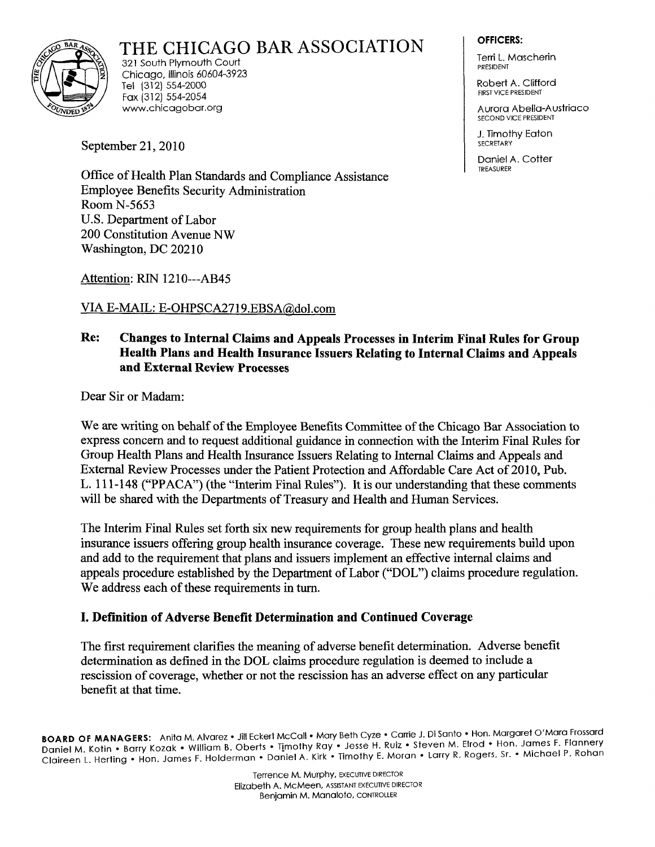

# THE CHICAGO BAR ASSOCIATION

321 South Plymouth Court Chicago, Illinois 60604-3923 Tel (312) 554-2000 Fax (312) 554-2054 [www.chicagobar.org](http://www.chicagobar.org) 

September 21, 2010

Office of Health Plan Standards and Compliance Assistance Employee Benefits Security Administration Room N-5653 U.S. Department of Labor 200 Constitution Avenue NW Washington, DC 20210

Attention: RIN 1210--- AB45

VIA E-MAIL: [E-OHPSCA2719.EBSA@dol.com](mailto:E-OHPSCA2719.EBSA@dol.com) 

# **Re: Changes to Internal Claims and Appeals Processes in Interim Final Rules for Group Health Plans and Health Insurance Issuers Relating to Internal Claims and Appeals and External Review Processes**

Dear Sir or Madam:

We are writing on behalf of the Employee Benefits Committee of the Chicago Bar Association to express concern and to request additional guidance in connection with the Interim Final Rules for Group Health Plans and Health Insurance Issuers Relating to Internal Claims and Appeals and External Review Processes under the Patient Protection and Affordable Care Act of 2010, Pub. L. 111-148 ("PPACA") (the "Interim Final Rules"). It is our understanding that these comments will be shared with the Departments of Treasury and Health and Human Services.

The Interim Final Rules set forth six new requirements for group health plans and health insurance issuers offering group health insurance coverage. These new requirements build upon and add to the requirement that plans and issuers implement an effective internal claims and appeals procedure established by the Department of Labor ("DOL") claims procedure regulation. We address each of these requirements in turn.

# **I. Definition of Adverse Benefit Determination and Continued Coverage**

The first requirement clarifies the meaning of adverse benefit determination. Adverse benefit determination as defined in the DOL claims procedure regulation is deemed to include a rescission of coverage, whether or not the rescission has an adverse effect on any particular benefit at that time.

**BOARD OF MANAGERS:** Anita M. Alvarez • Jill Eckert McCall • Mary Beth Cyze • Carrie J. Di Santo • Hon. Margaret O'Mara Frossard Daniel M. Kotin . Barry Kozak . William B. Oberts . Timothy Ray . Jesse H. Ruiz . Steven M. Elrod . Hon. James F. Flannery Claireen L. Herting • Hon. James F. Holderman • Daniel A. Kirk • Timothy E. Moran • Larry R. Rogers, Sr. • Michael P. Rohan

#### **OFFICERS:**

Tern L. Mascherin PRESIDENT

Robert A. Clifford FIRST VICE PRESIDENT

Aurora Abella-Austriaco SECOND VICE PRESIDENT

J. Timothy Eaton **SECRETARY** 

Daniel A. Cotter TREASURER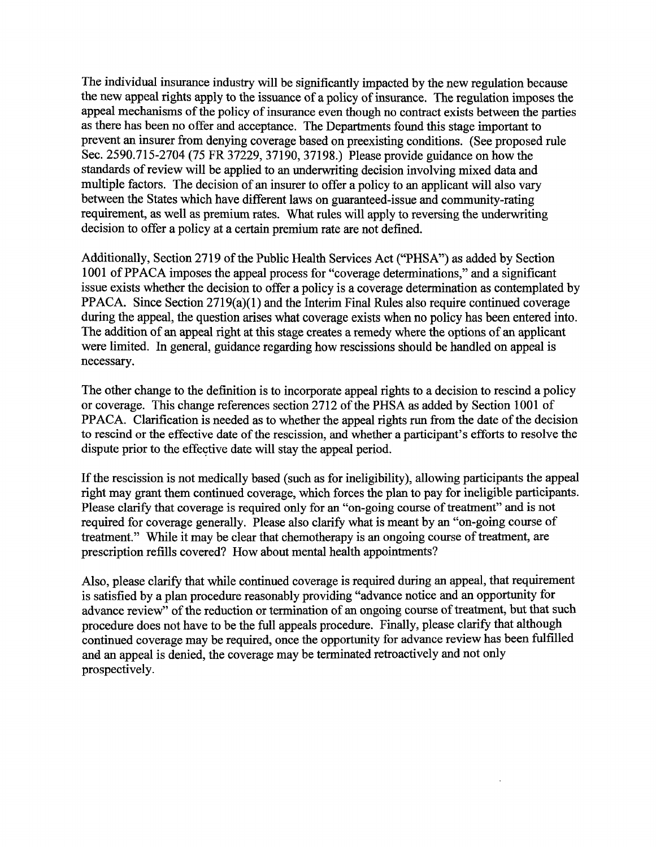The individual insurance industry will be significantly impacted by the new regulation because the new appeal rights apply to the issuance of a policy of insurance. The regulation imposes the appeal mechanisms of the policy of insurance even though no contract exists between the parties as there has been no offer and acceptance. The Departments found this stage important to prevent an insurer from denying coverage based on preexisting conditions. (See proposed rule Sec. 2590.715-2704 (75 FR 37229, 37190, 37198.) Please provide guidance on how the standards of review will be applied to an underwriting decision involving mixed data and multiple factors. The decision of an insurer to offer a policy to an applicant will also vary between the States which have different laws on guaranteed-issue and community-rating requirement, as well as premium rates. What rules will apply to reversing the underwriting decision to offer a policy at a certain premium rate are not defined.

Additionally, Section 2719 of the Public Health Services Act ("PHSA") as added by Section 1001 of PPACA imposes the appeal process for "coverage determinations," and a significant issue exists whether the decision to offer a policy is a coverage determination as contemplated by PPACA. Since Section 2719(a)(1) and the Interim Final Rules also require continued coverage during the appeal, the question arises what coverage exists when no policy has been entered into. The addition of an appeal right at this stage creates a remedy where the options of an applicant were limited. In general, guidance regarding how rescissions should be handled on appeal is necessary.

The other change to the definition is to incorporate appeal rights to a decision to rescind a policy or coverage. This change references section 2712 of the PHSA as added by Section 1001 of PPACA. Clarification is needed as to whether the appeal rights run from the date of the decision to rescind or the effective date of the rescission, and whether a participant's efforts to resolve the dispute prior to the effective date will stay the appeal period.

If the rescission is not medically based (such as for ineligibility), allowing participants the appeal right may grant them continued coverage, which forces the plan to pay for ineligible participants. Please clarify that coverage is required only for an "on-going course of treatment" and is not required for coverage generally. Please also clarify what is meant by an "on-going course of treatment." While it may be clear that chemotherapy is an ongoing course of treatment, are prescription refills covered? How about mental health appointments?

Also, please clarify that while continued coverage is required during an appeal, that requirement is satisfied by a plan procedure reasonably providing "advance notice and an opportunity for advance review" of the reduction or termination of an ongoing course of treatment, but that such procedure does not have to be the full appeals procedure. Finally, please clarify that although continued coverage may be required, once the opportunity for advance review has been fulfilled and an appeal is denied, the coverage may be terminated retroactively and not only prospectively.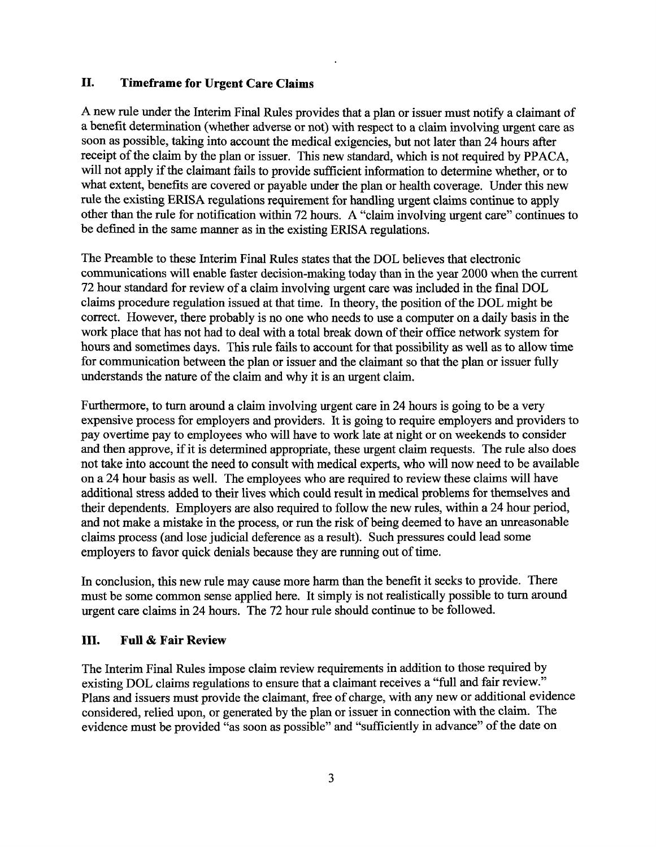#### **II. Timeframe for Urgent Care Claims**

A new rule under the Interim Final Rules provides that a plan or issuer must notify a claimant of a benefit determination (whether adverse or not) with respect to a claim involving urgent care as soon as possible, taking into account the medical exigencies, but not later than 24 hours after receipt of the claim by the plan or issuer. This new standard, which is not required by PPACA, will not apply if the claimant fails to provide sufficient information to determine whether, or to what extent, benefits are covered or payable under the plan or health coverage. Under this new rule the existing ERISA regulations requirement for handling urgent claims continue to apply other than the rule for notification within 72 hours. A "claim involving urgent care" continues to be defined in the same manner as in the existing ERISA regulations.

The Preamble to these Interim Final Rules states that the DOL believes that electronic communications will enable faster decision-making today than in the year 2000 when the current 72 hour standard for review of a claim involving urgent care was included in the final DOL claims procedure regulation issued at that time. In theory, the position of the DOL might be correct. However, there probably is no one who needs to use a computer on a daily basis in the work place that has not had to deal with a total break down of their office network system for hours and sometimes days. This rule fails to account for that possibility as well as to allow time for communication between the plan or issuer and the claimant so that the plan or issuer fully understands the nature of the claim and why it is an urgent claim.

Furthermore, to turn around a claim involving urgent care in 24 hours is going to be a very expensive process for employers and providers. It is going to require employers and providers to pay overtime pay to employees who will have to work late at night or on weekends to consider and then approve, if it is determined appropriate, these urgent claim requests. The rule also does not take into account the need to consult with medical experts, who will now need to be available on a 24 hour basis as well. The employees who are required to review these claims will have additional stress added to their lives which could result in medical problems for themselves and their dependents. Employers are also required to follow the new rules, within a 24 hour period, and not make a mistake in the process, or run the risk of being deemed to have an unreasonable claims process (and lose judicial deference as a result). Such pressures could lead some employers to favor quick denials because they are running out of time.

In conclusion, this new rule may cause more harm than the benefit it seeks to provide. There must be some common sense applied here. It simply is not realistically possible to turn around urgent care claims in 24 hours. The 72 hour rule should continue to be followed.

### **III. Full & Fair Review**

The Interim Final Rules impose claim review requirements in addition to those required by existing DOL claims regulations to ensure that a claimant receives a "full and fair review." Plans and issuers must provide the claimant, free of charge, with any new or additional evidence considered, relied upon, or generated by the plan or issuer in connection with the claim. The evidence must be provided "as soon as possible" and "sufficiently in advance" of the date on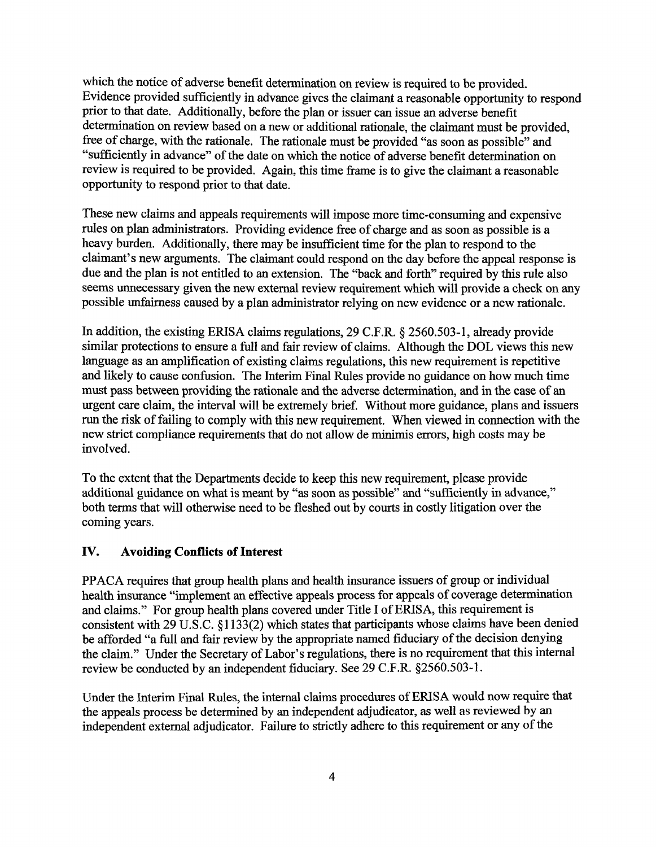which the notice of adverse benefit determination on review is required to be provided. Evidence provided sufficiently in advance gives the claimant a reasonable opportunity to respond prior to that date. Additionally, before the plan or issuer can issue an adverse benefit determination on review based on a new or additional rationale, the claimant must be provided, free of charge, with the rationale. The rationale must be provided "as soon as possible" and "sufficiently in advance" of the date on which the notice of adverse benefit determination on review is required to be provided. Again, this time frame is to give the claimant a reasonable opportunity to respond prior to that date.

These new claims and appeals requirements will impose more time-consuming and expensive rules on plan administrators. Providing evidence free of charge and as soon as possible is a heavy burden. Additionally, there may be insufficient time for the plan to respond to the claimant's new arguments. The claimant could respond on the day before the appeal response is due and the plan is not entitled to an extension. The "back and forth" required by this rule also seems unnecessary given the new external review requirement which will provide a check on any possible unfairness caused by a plan administrator relying on new evidence or a new rationale.

In addition, the existing ERISA claims regulations, 29 C.F.R. § 2560.503-1, already provide similar protections to ensure a full and fair review of claims. Although the DOL views this new language as an amplification of existing claims regulations, this new requirement is repetitive and likely to cause confusion. The Interim Final Rules provide no guidance on how much time must pass between providing the rationale and the adverse determination, and in the case of an urgent care claim, the interval will be extremely brief. Without more guidance, plans and issuers run the risk of failing to comply with this new requirement. When viewed in connection with the new strict compliance requirements that do not allow de minimis errors, high costs may be involved.

To the extent that the Departments decide to keep this new requirement, please provide additional guidance on what is meant by "as soon as possible" and "sufficiently in advance," both terms that will otherwise need to be fleshed out by courts in costly litigation over the coming years.

# **IV. Avoiding Conflicts of Interest**

PPACA requires that group health plans and health insurance issuers of group or individual health insurance "implement an effective appeals process for appeals of coverage determination and claims." For group health plans covered under Title I of ERISA, this requirement is consistent with 29 U.S.C. §1133(2) which states that participants whose claims have been denied be afforded "a full and fair review by the appropriate named fiduciary of the decision denying the claim." Under the Secretary of Labor's regulations, there is no requirement that this internal review be conducted by an independent fiduciary. See 29 C.F.R. §2560.503-1.

Under the Interim Final Rules, the internal claims procedures of ERISA would now require that the appeals process be determined by an independent adjudicator, as well as reviewed by an independent external adjudicator. Failure to strictly adhere to this requirement or any of the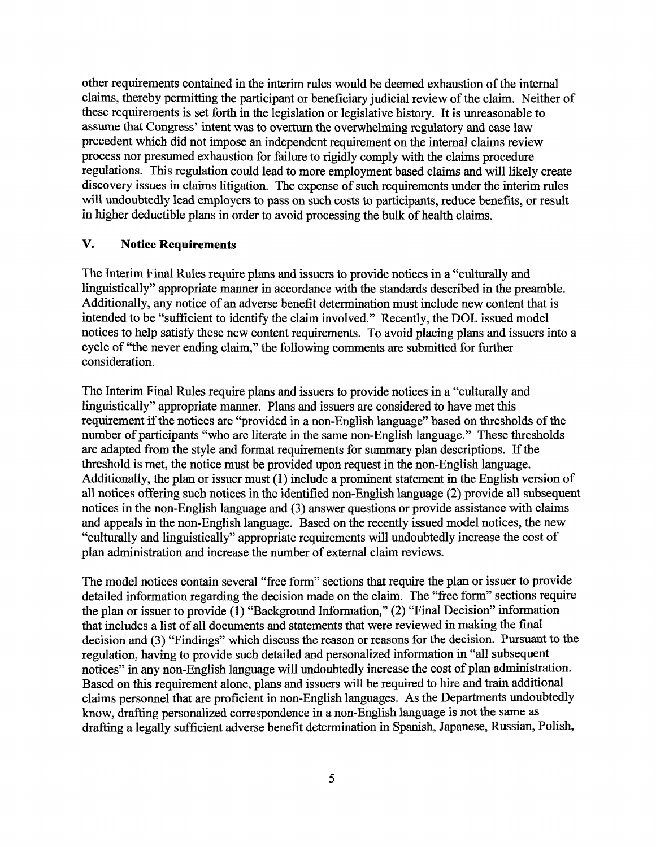other requirements contained in the interim rules would be deemed exhaustion of the internal claims, thereby permitting the participant or beneficiary judicial review of the claim. Neither of these requirements is set forth in the legislation or legislative history. It is unreasonable to assume that Congress' intent was to overturn the overwhelming regulatory and case law precedent which did not impose an independent requirement on the internal claims review process nor presumed exhaustion for failure to rigidly comply with the claims procedure regulations. This regulation could lead to more employment based claims and will likely create discovery issues in claims litigation. The expense of such requirements under the interim rules will undoubtedly lead employers to pass on such costs to participants, reduce benefits, or result in higher deductible plans in order to avoid processing the bulk of health claims.

#### **V. Notice Requirements**

The Interim Final Rules require plans and issuers to provide notices in a "culturally and linguistically" appropriate manner in accordance with the standards described in the preamble. Additionally, any notice of an adverse benefit determination must include new content that is intended to be "sufficient to identify the claim involved." Recently, the DOL issued model notices to help satisfy these new content requirements. To avoid placing plans and issuers into a cycle of "the never ending claim," the following comments are submitted for further consideration.

The Interim Final Rules require plans and issuers to provide notices in a "culturally and linguistically" appropriate manner. Plans and issuers are considered to have met this requirement if the notices are "provided in a non-English language" based on thresholds of the number of participants "who are literate in the same non-English language." These thresholds are adapted from the style and format requirements for summary plan descriptions. If the threshold is met, the notice must be provided upon request in the non-English language. Additionally, the plan or issuer must (1) include a prominent statement in the English version of all notices offering such notices in the identified non-English language (2) provide all subsequent notices in the non-English language and (3) answer questions or provide assistance with claims and appeals in the non-English language. Based on the recently issued model notices, the new "culturally and linguistically" appropriate requirements will undoubtedly increase the cost of plan administration and increase the number of external claim reviews.

The model notices contain several "free form" sections that require the plan or issuer to provide detailed information regarding the decision made on the claim. The "free form" sections require the plan or issuer to provide (1) "Background Information," (2) "Final Decision" information that includes a list of all documents and statements that were reviewed in making the final decision and (3) "Findings" which discuss the reason or reasons for the decision. Pursuant to the regulation, having to provide such detailed and personalized information in "all subsequent notices" in any non-English language will undoubtedly increase the cost of plan administration. Based on this requirement alone, plans and issuers will be required to hire and train additional claims personnel that are proficient in non-English languages. As the Departments undoubtedly know, drafting personalized correspondence in a non-English language is not the same as drafting a legally sufficient adverse benefit determination in Spanish, Japanese, Russian, Polish,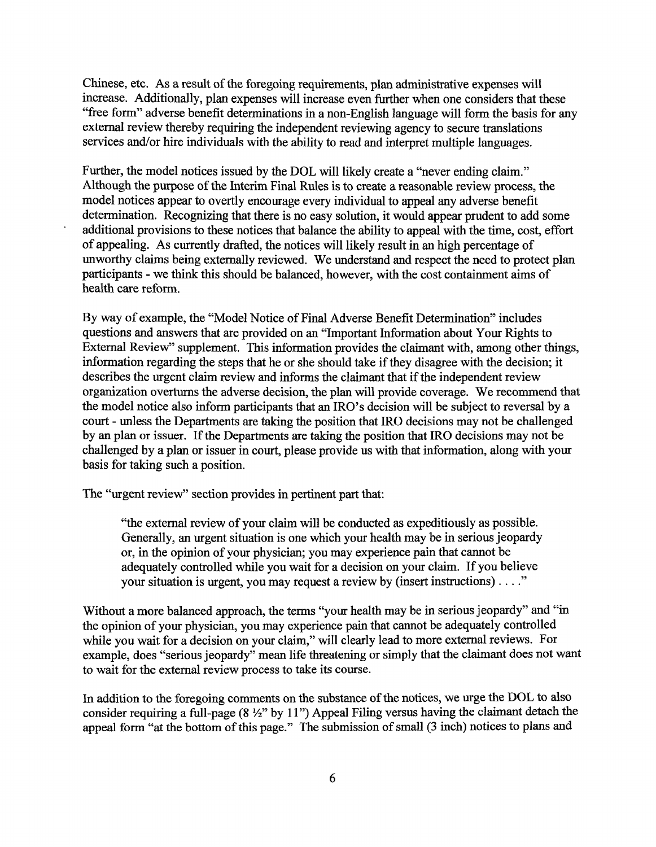Chinese, etc. As a result of the foregoing requirements, plan administrative expenses will increase. Additionally, plan expenses will increase even further when one considers that these "free form" adverse benefit determinations in a non-English language will form the basis for any external review thereby requiring the independent reviewing agency to secure translations services and/or hire individuals with the ability to read and interpret multiple languages.

Further, the model notices issued by the DOL will likely create a "never ending claim." Although the purpose of the Interim Final Rules is to create a reasonable review process, the model notices appear to overtly encourage every individual to appeal any adverse benefit determination. Recognizing that there is no easy solution, it would appear prudent to add some additional provisions to these notices that balance the ability to appeal with the time, cost, effort of appealing. As currently drafted, the notices will likely result in an high percentage of unworthy claims being externally reviewed. We understand and respect the need to protect plan participants - we think this should be balanced, however, with the cost containment aims of health care reform.

By way of example, the "Model Notice of Final Adverse Benefit Determination" includes questions and answers that are provided on an "Important Information about Your Rights to External Review" supplement. This information provides the claimant with, among other things, information regarding the steps that he or she should take if they disagree with the decision; it describes the urgent claim review and informs the claimant that if the independent review organization overturns the adverse decision, the plan will provide coverage. We recommend that the model notice also inform participants that an IRO's decision will be subject to reversal by a court - unless the Departments are taking the position that IRO decisions may not be challenged by an plan or issuer. If the Departments are taking the position that IRO decisions may not be challenged by a plan or issuer in court, please provide us with that information, along with your basis for taking such a position.

The "urgent review" section provides in pertinent part that:

"the external review of your claim will be conducted as expeditiously as possible. Generally, an urgent situation is one which your health may be in serious jeopardy or, in the opinion of your physician; you may experience pain that cannot be adequately controlled while you wait for a decision on your claim. If you believe your situation is urgent, you may request a review by (insert instructions) .... "

Without a more balanced approach, the terms "your health may be in serious jeopardy" and "in the opinion of your physician, you may experience pain that cannot be adequately controlled while you wait for a decision on your claim," will clearly lead to more external reviews. For example, does "serious jeopardy" mean life threatening or simply that the claimant does not want to wait for the external review process to take its course.

In addition to the foregoing comments on the substance of the notices, we urge the DOL to also consider requiring a full-page (8 *V"* by 11") Appeal Filing versus having the claimant detach the appeal form "at the bottom of this page." The submission of small (3 inch) notices to plans and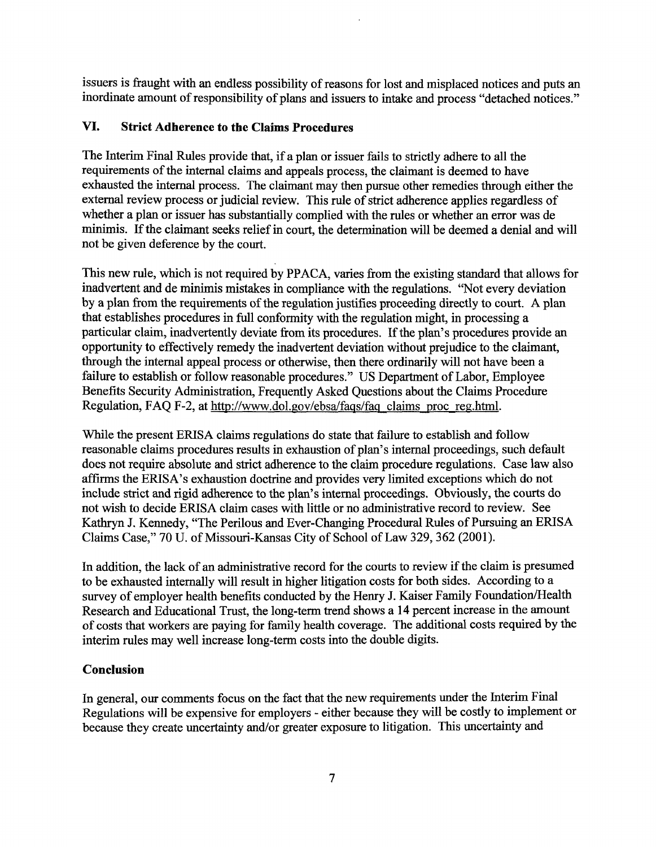issuers is fraught with an endless possibility of reasons for lost and misplaced notices and puts an inordinate amount of responsibility of plans and issuers to intake and process "detached notices."

# **VI. Strict Adherence to the Claims Procedures**

The Interim Final Rules provide that, if a plan or issuer fails to strictly adhere to all the requirements of the internal claims and appeals process, the claimant is deemed to have exhausted the internal process. The claimant may then pursue other remedies through either the external review process or judicial review. This rule of strict adherence applies regardless of whether a plan or issuer has substantially complied with the rules or whether an error was de minimis. If the claimant seeks relief in court, the determination will be deemed a denial and will not be given deference by the court.

This new rule, which is not required by PPACA, varies from the existing standard that allows for inadvertent and de minimis mistakes in compliance with the regulations. "Not every deviation by a plan from the requirements of the regulation justifies proceeding directly to court. A plan that establishes procedures in full conformity with the regulation might, in processing a particular claim, inadvertently deviate from its procedures. If the plan's procedures provide an opportunity to effectively remedy the inadvertent deviation without prejudice to the claimant, through the internal appeal process or otherwise, then there ordinarily will not have been a failure to establish or follow reasonable procedures." US Department of Labor, Employee Benefits Security Administration, Frequently Asked Questions about the Claims Procedure Regulation, FAQ F-2, at<http://www.dol.gov/ebsa/faqs/faq>claims proc reg.html.

While the present ERISA claims regulations do state that failure to establish and follow reasonable claims procedures results in exhaustion of plan's internal proceedings, such default does not require absolute and strict adherence to the claim procedure regulations. Case law also affirms the ERISA's exhaustion doctrine and provides very limited exceptions which do not include strict and rigid adherence to the plan's internal proceedings. Obviously, the courts do not wish to decide ERISA claim cases with little or no administrative record to review. See Kathryn J. Kennedy, "The Perilous and Ever-Changing Procedural Rules of Pursuing an ERISA Claims Case," 70 U. of Missouri-Kansas City of School of Law 329, 362 (2001).

In addition, the lack of an administrative record for the courts to review if the claim is presumed to be exhausted internally will result in higher litigation costs for both sides. According to a survey of employer health benefits conducted by the Henry J. Kaiser Family Foundation/Health Research and Educational Trust, the long-term trend shows a 14 percent increase in the amount of costs that workers are paying for family health coverage. The additional costs required by the interim rules may well increase long-term costs into the double digits.

# **Conclusion**

In general, our comments focus on the fact that the new requirements under the Interim Final Regulations will be expensive for employers - either because they will be costly to implement or because they create uncertainty and/or greater exposure to litigation. This uncertainty and